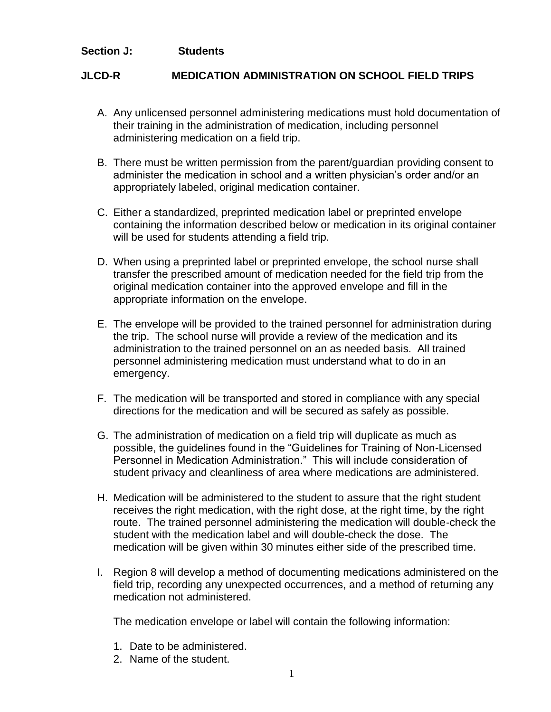## **Section J: Students**

## **JLCD-R MEDICATION ADMINISTRATION ON SCHOOL FIELD TRIPS**

- A. Any unlicensed personnel administering medications must hold documentation of their training in the administration of medication, including personnel administering medication on a field trip.
- B. There must be written permission from the parent/guardian providing consent to administer the medication in school and a written physician's order and/or an appropriately labeled, original medication container.
- C. Either a standardized, preprinted medication label or preprinted envelope containing the information described below or medication in its original container will be used for students attending a field trip.
- D. When using a preprinted label or preprinted envelope, the school nurse shall transfer the prescribed amount of medication needed for the field trip from the original medication container into the approved envelope and fill in the appropriate information on the envelope.
- E. The envelope will be provided to the trained personnel for administration during the trip. The school nurse will provide a review of the medication and its administration to the trained personnel on an as needed basis. All trained personnel administering medication must understand what to do in an emergency.
- F. The medication will be transported and stored in compliance with any special directions for the medication and will be secured as safely as possible.
- G. The administration of medication on a field trip will duplicate as much as possible, the guidelines found in the "Guidelines for Training of Non-Licensed Personnel in Medication Administration." This will include consideration of student privacy and cleanliness of area where medications are administered.
- H. Medication will be administered to the student to assure that the right student receives the right medication, with the right dose, at the right time, by the right route. The trained personnel administering the medication will double-check the student with the medication label and will double-check the dose. The medication will be given within 30 minutes either side of the prescribed time.
- I. Region 8 will develop a method of documenting medications administered on the field trip, recording any unexpected occurrences, and a method of returning any medication not administered.

The medication envelope or label will contain the following information:

- 1. Date to be administered.
- 2. Name of the student.